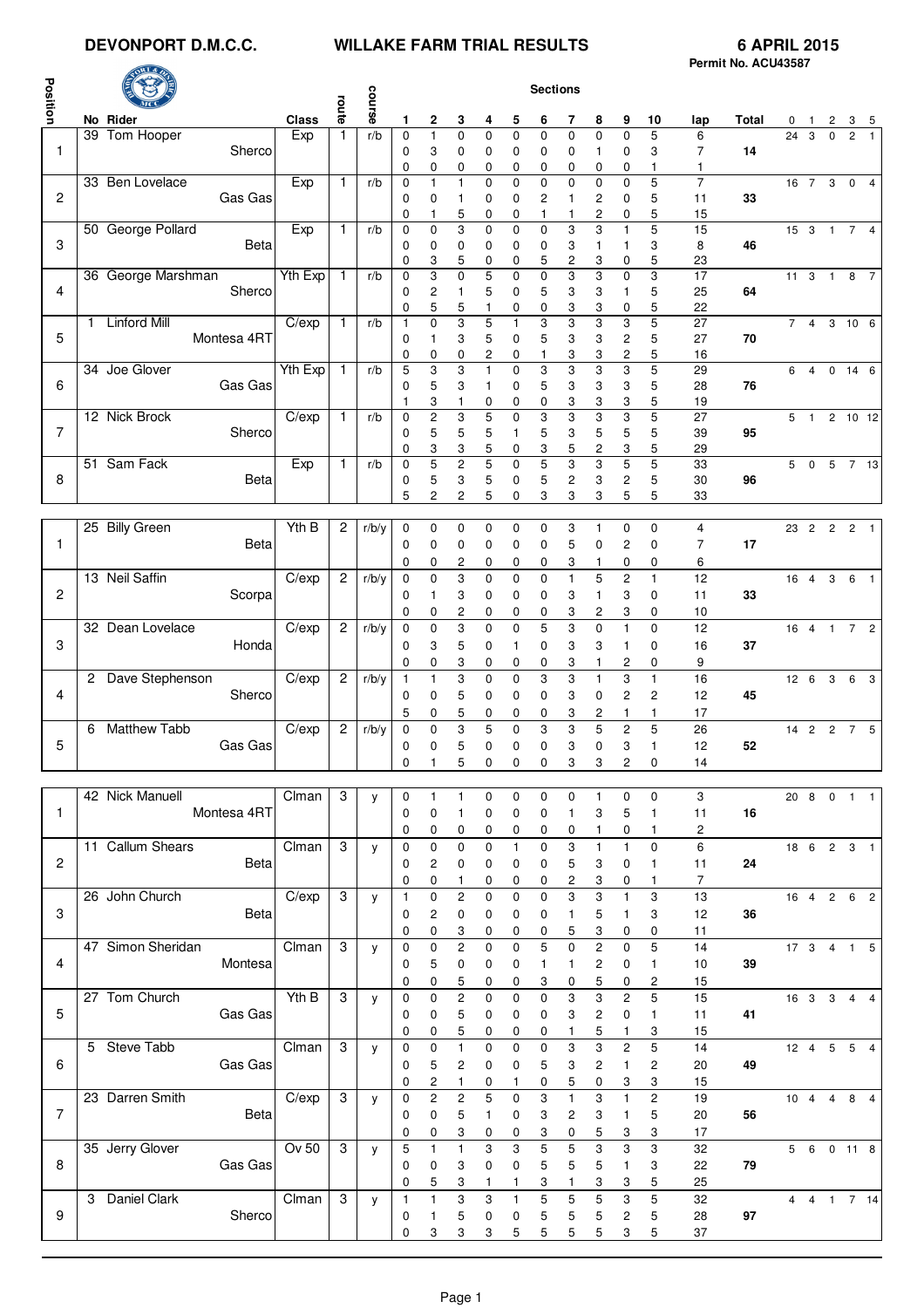# **DEVONPORT D.M.C.C. WILLAKE FARM TRIAL RESULTS 6 APRIL 2015**

|                |                              |          |                |              |                            |                                        |                         |                     |                   |                  |                                |                         |                              |                              |                | Permit No. ACU43587 |              |                   |          |                         |                         |
|----------------|------------------------------|----------|----------------|--------------|----------------------------|----------------------------------------|-------------------------|---------------------|-------------------|------------------|--------------------------------|-------------------------|------------------------------|------------------------------|----------------|---------------------|--------------|-------------------|----------|-------------------------|-------------------------|
|                |                              |          |                |              |                            |                                        |                         |                     |                   | <b>Sections</b>  |                                |                         |                              |                              |                |                     |              |                   |          |                         |                         |
| Position       |                              |          | route          | course       |                            |                                        |                         |                     |                   |                  |                                |                         |                              |                              |                |                     |              |                   |          |                         |                         |
|                | No Rider                     | Class    |                |              | 1                          | 2                                      | 3                       | 4                   | 5                 | 6                | 7                              | 8                       | 9                            | 10                           | lap            | Total               | 0            |                   | 2        |                         |                         |
| $\mathbf{1}$   | 39 Tom Hooper<br>Sherco      | Exp      | $\mathbf{1}$   | r/b          | $\mathbf 0$<br>$\mathbf 0$ | $\mathbf{1}$<br>3                      | $\mathbf 0$<br>0        | 0<br>0              | $\Omega$<br>0     | $\Omega$<br>0    | $\Omega$<br>0                  | $\Omega$<br>1           | $\Omega$<br>0                | 5<br>3                       | 6<br>7         | 14                  |              | $\overline{24}$ 3 | $\Omega$ | $\overline{c}$          |                         |
|                |                              |          |                |              | 0                          | 0                                      | 0                       | 0                   | 0                 | 0                | 0                              | 0                       | 0                            | 1                            | $\mathbf{1}$   |                     |              |                   |          |                         |                         |
|                | 33 Ben Lovelace              | Exp      | $\mathbf{1}$   | r/b          | $\mathbf 0$                | 1                                      | $\mathbf{1}$            | 0                   | $\mathbf 0$       | $\mathbf 0$      | $\overline{0}$                 | $\mathbf 0$             | 0                            | 5                            | $\overline{7}$ |                     |              |                   |          | 16 7 3 0 4              |                         |
| 2              | Gas Gas                      |          |                |              | $\mathbf 0$                | 0                                      | 1                       | 0                   | 0                 | 2                | $\mathbf{1}$                   | $\overline{\mathbf{c}}$ | 0                            | 5                            | 11             | 33                  |              |                   |          |                         |                         |
|                | 50 George Pollard            | Exp      | $\mathbf{1}$   | r/b          | $\mathbf 0$<br>$\mathbf 0$ | 1<br>$\mathbf 0$                       | 5<br>3                  | 0<br>0              | 0<br>$\mathbf 0$  | 1<br>$\mathbf 0$ | $\mathbf{1}$<br>3              | 2<br>3                  | 0<br>$\mathbf{1}$            | 5<br>5                       | 15<br>15       |                     |              |                   |          | 15 3 1 7                | $\overline{4}$          |
| 3              | Beta                         |          |                |              | 0                          | 0                                      | 0                       | 0                   | 0                 | 0                | 3                              | $\mathbf{1}$            | 1                            | 3                            | 8              | 46                  |              |                   |          |                         |                         |
|                |                              |          |                |              | $\mathbf 0$                | 3                                      | 5                       | 0                   | 0                 | 5                | 2                              | 3                       | 0                            | 5                            | 23             |                     |              |                   |          |                         |                         |
|                | 36 George Marshman           | Yth Exp  | $\mathbf{1}$   | r/b          | $\mathbf 0$                | 3                                      | 0                       | 5                   | $\mathbf 0$       | $\mathbf 0$      | 3                              | 3                       | 0                            | 3                            | 17             |                     |              |                   |          | 11 3 1 8 7              |                         |
| 4              | Sherco                       |          |                |              | 0                          | 2<br>5                                 | $\mathbf{1}$            | 5                   | 0                 | 5                | 3                              | 3                       | 1                            | 5                            | 25             | 64                  |              |                   |          |                         |                         |
|                | 1 Linford Mill               | C/exp    | $\mathbf{1}$   | r/b          | 0<br>$\mathbf{1}$          | $\mathbf 0$                            | 5<br>3                  | 1<br>5              | 0<br>1            | 0<br>3           | 3<br>3                         | 3<br>3                  | 0<br>3                       | 5<br>5                       | 22<br>27       |                     |              |                   |          | $\overline{7}$ 4 3 10 6 |                         |
| 5              | Montesa 4RT                  |          |                |              | $\mathbf 0$                | $\mathbf{1}$                           | 3                       | 5                   | 0                 | 5                | 3                              | 3                       | $\overline{c}$               | 5                            | 27             | 70                  |              |                   |          |                         |                         |
|                |                              |          |                |              | $\mathbf 0$                | 0                                      | 0                       | 2                   | 0                 |                  | 3                              | 3                       | $\overline{\mathbf{c}}$      | 5                            | 16             |                     |              |                   |          |                         |                         |
|                | 34 Joe Glover                | Yth Exp  | $\mathbf{1}$   | r/b          | 5                          | 3                                      | 3                       | $\mathbf{1}$        | $\mathbf 0$       | 3                | 3                              | 3                       | 3                            | 5                            | 29             |                     | 6            | $\overline{4}$    |          | $0 \t14 \t6$            |                         |
| 6              | Gas Gas                      |          |                |              | 0                          | 5<br>3                                 | 3<br>1                  | 1<br>0              | 0<br>0            | 5<br>0           | 3<br>3                         | 3<br>3                  | 3<br>3                       | 5<br>5                       | 28<br>19       | 76                  |              |                   |          |                         |                         |
|                | 12 Nick Brock                | C/exp    | $\mathbf{1}$   | r/b          | $\mathbf 0$                | $\overline{c}$                         | 3                       | 5                   | $\mathbf 0$       | 3                | 3                              | 3                       | 3                            | 5                            | 27             |                     |              |                   |          | 5 1 2 10 12             |                         |
| $\overline{7}$ | Sherco                       |          |                |              | $\mathbf 0$                | 5                                      | 5                       | 5                   | 1                 | 5                | 3                              | 5                       | 5                            | 5                            | 39             | 95                  |              |                   |          |                         |                         |
|                |                              |          |                |              | 0                          | 3                                      | 3                       | 5                   | 0                 | 3                | 5                              | 2                       | 3                            | 5                            | 29             |                     |              |                   |          |                         |                         |
| 8              | 51 Sam Fack                  | Exp      | $\mathbf{1}$   | r/b          | $\mathbf 0$                | 5                                      | $\overline{\mathbf{c}}$ | 5                   | 0                 | 5                | 3                              | 3                       | 5                            | 5                            | 33<br>30       | 96                  | 5            | $\pmb{0}$         |          | 5 7 13                  |                         |
|                | Beta                         |          |                |              | 0<br>5                     | 5<br>2                                 | 3<br>2                  | 5<br>5              | 0<br>0            | 5<br>3           | 2<br>3                         | 3<br>3                  | $\overline{\mathbf{c}}$<br>5 | 5<br>5                       | 33             |                     |              |                   |          |                         |                         |
|                |                              |          |                |              |                            |                                        |                         |                     |                   |                  |                                |                         |                              |                              |                |                     |              |                   |          |                         |                         |
|                | 25 Billy Green               | Yth B    | $\overline{c}$ | r/b/y        | $\mathbf 0$                | 0                                      | 0                       | 0                   | 0                 | 0                | 3                              | $\mathbf{1}$            | 0                            | 0                            | 4              |                     |              |                   |          | 23  2  2  2  1          |                         |
| 1              | Beta                         |          |                |              | 0                          | 0                                      | 0                       | 0                   | 0                 | 0                | 5                              | 0                       | 2                            | $\mathbf 0$                  | $\overline{7}$ | 17                  |              |                   |          |                         |                         |
|                |                              |          |                |              | 0                          | 0                                      | 2                       | 0                   | 0                 | 0                | 3                              | 1                       | 0                            | 0                            | 6              |                     |              |                   |          |                         |                         |
| 2              | 13 Neil Saffin<br>Scorpa     | $C$ /exp | $\overline{c}$ | r/b/y        | $\mathbf 0$<br>0           | 0<br>1                                 | 3<br>3                  | 0                   | 0<br>0            | 0<br>0           | 1<br>3                         | 5<br>1                  | 2<br>3                       | 1<br>0                       | 12<br>11       | 33                  |              |                   |          | 16  4  3  6  1          |                         |
|                |                              |          |                |              | 0                          | 0                                      | 2                       | 0<br>0              | 0                 | 0                | 3                              | 2                       | 3                            | 0                            | 10             |                     |              |                   |          |                         |                         |
| 3              | 32 Dean Lovelace             | $C$ /exp | $\overline{c}$ | r/b/y        | $\mathbf 0$                | 0                                      | 3                       | 0                   | $\mathbf 0$       | 5                | 3                              | $\mathbf 0$             | $\mathbf{1}$                 | $\mathbf 0$                  | 12             |                     |              |                   |          | 16 4 1 7 2              |                         |
|                | Honda                        |          |                |              | $\mathbf 0$                | 3                                      | 5                       | 0                   | 1                 | 0                | 3                              | 3                       | 1                            | 0                            | 16             | 37                  |              |                   |          |                         |                         |
|                |                              |          |                |              | $\mathbf 0$                | 0                                      | 3                       | 0                   | 0                 | 0                | 3                              | 1                       | 2                            | 0                            | 9              |                     |              |                   |          |                         |                         |
|                | 2 Dave Stephenson            | C/exp    | $\overline{2}$ | r/b/y        | $\mathbf{1}$               | 1                                      | 3                       | 0                   | $\mathbf 0$       | 3                | 3                              | $\mathbf{1}$            | 3                            | 1                            | 16             |                     | $12 \quad 6$ |                   |          | $3\quad 6$              | $\overline{\mathbf{3}}$ |
| 4              | Sherco                       |          |                |              | 0                          | $\mathbf 0$                            | 5                       | 0                   | 0                 | 0                | 3                              | 0                       | $\overline{c}$               | $\overline{c}$               | 12             | 45                  |              |                   |          |                         |                         |
|                | 6 Matthew Tabb               | C/exp    | $\overline{c}$ | r/b/y        | 5<br>$\mathbf 0$           | 0<br>0                                 | 5<br>3                  | 0<br>5              | 0<br>$\mathbf 0$  | 0<br>3           | 3<br>3                         | 2<br>5                  | 1<br>$\overline{c}$          | 1<br>5                       | 17<br>26       |                     |              |                   |          | 14 2 2 7 5              |                         |
| 5              | Gas Gas                      |          |                |              | 0                          | 0                                      | 5                       | 0                   | 0                 | 0                | 3                              | 0                       | 3                            | 1                            | 12             | 52                  |              |                   |          |                         |                         |
|                |                              |          |                |              | 0                          | 1                                      | 5                       | 0                   | 0                 | 0                | 3                              | 3                       | 2                            | 0                            | 14             |                     |              |                   |          |                         |                         |
|                |                              |          |                |              |                            |                                        |                         |                     |                   |                  |                                |                         |                              |                              |                |                     |              |                   |          |                         |                         |
|                | 42 Nick Manuell              | Clman    | 3              | y            | $\mathbf 0$                | 1                                      | $\mathbf{1}$            | 0                   | 0                 | 0                | 0                              | 1                       | 0                            | 0                            | 3              |                     |              |                   |          | 20 8 0 1 1              |                         |
| $\mathbf{1}$   | Montesa 4RT                  |          |                |              | $\mathbf 0$                | $\mathbf 0$                            | $\mathbf{1}$            | 0                   | 0                 | $\mathbf 0$      | 1                              | 3                       | 5                            | 1                            | 11             | 16                  |              |                   |          |                         |                         |
|                | 11 Callum Shears             | Clman    | $\mathbf{3}$   | y            | 0<br>$\mathbf 0$           | 0<br>$\mathbf 0$                       | 0<br>$\pmb{0}$          | 0<br>0              | 0<br>$\mathbf{1}$ | 0<br>$\mathbf 0$ | 0<br>3                         | 1<br>$\mathbf{1}$       | 0<br>1                       | 1<br>$\pmb{0}$               | 2<br>$\,6\,$   |                     |              |                   |          | 18 6 2 3 1              |                         |
| $\overline{2}$ | Beta                         |          |                |              | 0                          | $\overline{c}$                         | 0                       | 0                   | 0                 | 0                | 5                              | 3                       | 0                            | 1                            | 11             | 24                  |              |                   |          |                         |                         |
|                |                              |          |                |              | 0                          | 0                                      | $\mathbf{1}$            | 0                   | 0                 | 0                | $\overline{c}$                 | 3                       | 0                            | 1                            | $\overline{7}$ |                     |              |                   |          |                         |                         |
|                | 26 John Church               | C/exp    | 3              | y            | $\mathbf{1}$               | 0                                      | $\overline{c}$          | 0                   | 0                 | $\pmb{0}$        | 3                              | 3                       | $\mathbf{1}$                 | 3                            | 13             |                     |              |                   |          | 16 4 2 6 2              |                         |
| 3              | Beta                         |          |                |              | 0                          | $\overline{c}$                         | 0                       | 0                   | 0                 | $\mathbf 0$      | $\mathbf{1}$                   | 5                       | 1                            | 3                            | 12             | 36                  |              |                   |          |                         |                         |
|                |                              |          |                |              | 0                          | 0                                      | 3                       | 0                   | 0                 | 0                | 5                              | 3                       | 0                            | 0                            | 11             |                     |              |                   |          |                         |                         |
| $\overline{4}$ | 47 Simon Sheridan<br>Montesa | Clman    | 3              | y            | $\mathbf{0}$               | $\mathbf 0$                            | $\overline{2}$          | 0                   | 0                 | 5                | $\Omega$                       | $\overline{c}$          | 0                            | 5                            | 14             |                     |              |                   |          |                         |                         |
|                |                              |          |                |              | 0<br>0                     | 5<br>0                                 | 0<br>5                  | 0<br>0              | 0<br>0            | 1<br>3           | 1<br>0                         | 2<br>5                  | 0<br>0                       | 1<br>2                       | 10<br>15       | 39                  |              |                   |          |                         |                         |
|                | 27 Tom Church                | Yth B    | 3              | y            | $\mathbf 0$                | $\mathbf 0$                            | $\sqrt{2}$              | 0                   | 0                 | $\pmb{0}$        | 3                              | 3                       | $\overline{\mathbf{c}}$      | 5                            | 15             |                     |              |                   |          | 16 3 3 4 4              |                         |
| 5              | Gas Gas                      |          |                |              | 0                          | 0                                      | 5                       | 0                   | 0                 | 0                | 3                              | 2                       | 0                            | 1                            | 11             | 41                  |              |                   |          |                         |                         |
|                |                              |          |                |              | 0                          | 0                                      | 5                       | 0                   | 0                 | 0                | $\mathbf{1}$                   | 5                       | $\mathbf{1}$                 | 3                            | 15             |                     |              |                   |          |                         |                         |
|                | 5 Steve Tabb                 | Clman    | 3              | $\mathsf{V}$ | $\mathbf 0$                | $\mathbf 0$                            | $\mathbf{1}$            | 0                   | 0                 | $\mathbf 0$      | 3                              | 3                       | $\overline{c}$               | 5                            | 14             |                     |              |                   |          | 12  4  5  5  4          |                         |
| 6              | Gas Gas                      |          |                |              | 0                          | 5                                      | $\sqrt{2}$              | 0                   | 0                 | 5                | 3                              | 2                       | $\mathbf{1}$                 | 2                            | 20             | 49                  |              |                   |          |                         |                         |
|                | 23 Darren Smith              | $C$ /exp | $\mathbf{3}$   |              | 0                          | $\overline{\mathbf{c}}$<br>$\mathbf 2$ | $\mathbf{1}$            | 0<br>5              | 1                 | 0                | 5                              | 0<br>3                  | 3<br>$\mathbf{1}$            | 3<br>$\overline{\mathbf{c}}$ | 15             |                     |              |                   |          | 10 4 4 8 4              |                         |
| $\overline{7}$ | Beta                         |          |                | y            | $\mathbf 0$<br>0           | $\mathbf 0$                            | $\mathbf 2$<br>5        | 1                   | $\pmb{0}$<br>0    | 3<br>3           | $\mathbf{1}$<br>$\overline{c}$ | 3                       | $\mathbf{1}$                 | 5                            | 19<br>20       | 56                  |              |                   |          |                         |                         |
|                |                              |          |                |              | 0                          | 0                                      | 3                       | 0                   | 0                 | 3                | 0                              | 5                       | 3                            | 3                            | 17             |                     |              |                   |          |                         |                         |
|                | 35 Jerry Glover              | Ov 50    | 3              | y            | 5                          | 1                                      | $\mathbf{1}$            | 3                   | 3                 | 5                | 5                              | 3                       | 3                            | 3                            | 32             |                     |              |                   |          | 5 6 0 11 8              |                         |
| 8              | Gas Gas                      |          |                |              | $\mathbf 0$                | 0                                      | 3                       | 0                   | 0                 | 5                | 5                              | 5                       | $\mathbf{1}$                 | 3                            | 22             | 79                  |              |                   |          |                         |                         |
|                |                              |          |                |              | 0                          | 5                                      | 3                       | 1                   | 1                 | 3                | 1                              | 3                       | 3                            | 5                            | 25             |                     |              |                   |          |                         |                         |
|                | 3 Daniel Clark               | $C$ Iman | 3              | y            | $\mathbf{1}$               | $\mathbf{1}$                           | 3                       | 3                   | 1                 | 5                | 5                              | 5                       | 3                            | 5                            | 32             |                     |              |                   |          | 4 4 1 7 14              |                         |
| 9              | Sherco                       |          |                |              | 0<br>$\mathbf 0$           | 1<br>3                                 | 5<br>3                  | 0<br>3 <sup>7</sup> | 0<br>5            | 5<br>5           | 5<br>5                         | 5<br>5                  | 2<br>$\mathbf{3}$            | 5<br>5                       | 28<br>37       | 97                  |              |                   |          |                         |                         |
|                |                              |          |                |              |                            |                                        |                         |                     |                   |                  |                                |                         |                              |                              |                |                     |              |                   |          |                         |                         |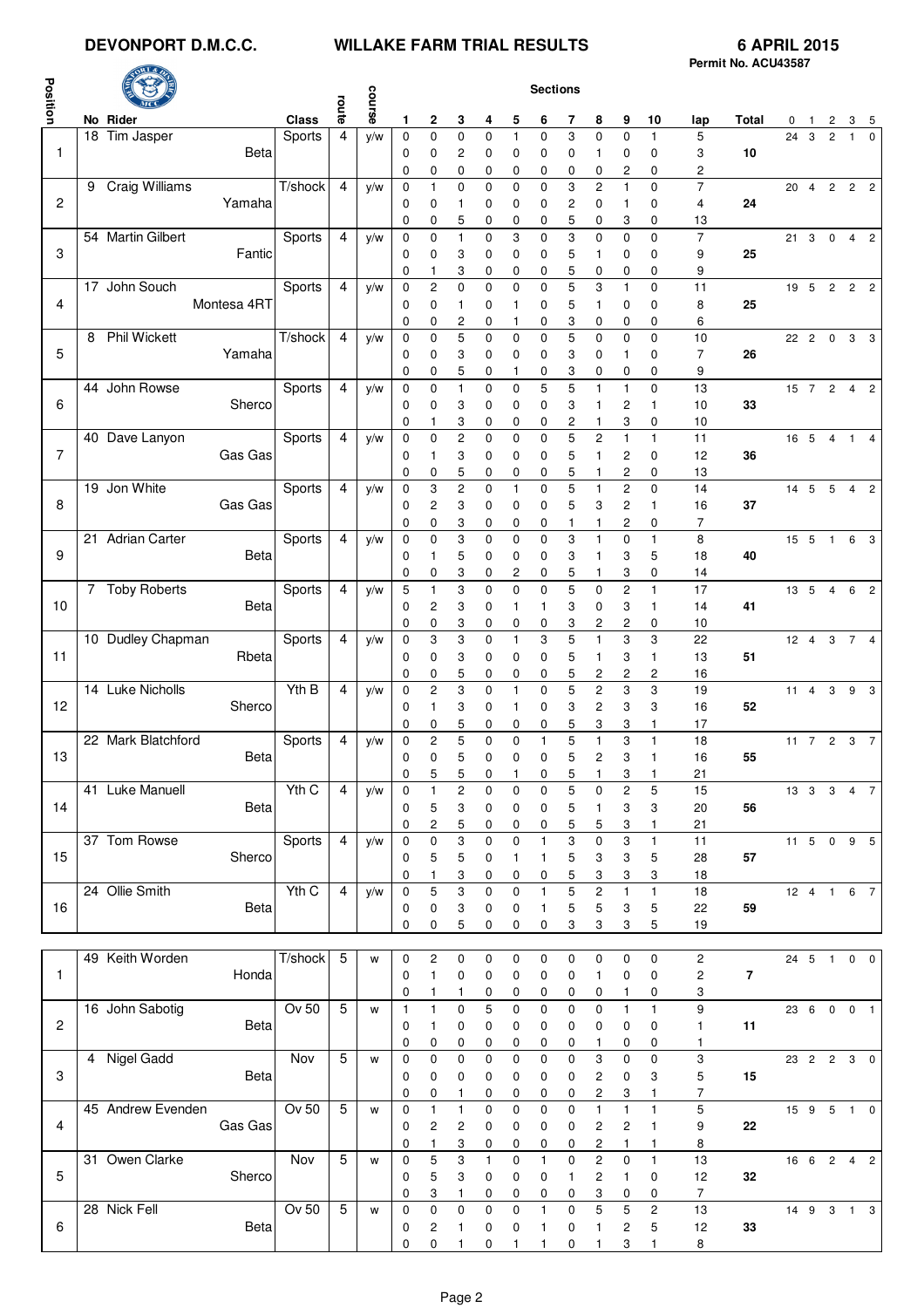## **DEVONPORT D.M.C.C. WILLAKE FARM TRIAL RESULTS 6 APRIL 2015**

| Position       |                    |             |                             | route          | course |                             |                         |                         |                     |                   | <b>Sections</b>   |                  |                                  |                         |                        |                |                |                |                        |                                |                        |          |
|----------------|--------------------|-------------|-----------------------------|----------------|--------|-----------------------------|-------------------------|-------------------------|---------------------|-------------------|-------------------|------------------|----------------------------------|-------------------------|------------------------|----------------|----------------|----------------|------------------------|--------------------------------|------------------------|----------|
|                | No Rider           |             | Class                       | $\overline{4}$ |        | 1                           | 2                       | 3<br>$\mathbf 0$        | 4                   | 5<br>$\mathbf{1}$ | 6<br>$\Omega$     | 7<br>3           | 8                                | 9                       | 10                     | lap            | Total          | $\overline{0}$ | $\overline{1}$<br>24 3 | $\mathbf{2}$<br>$\overline{2}$ | 3 <sub>5</sub>         | $\Omega$ |
| $\mathbf{1}$   | 18 Tim Jasper      | Beta        | Sports                      |                | y/w    | $\mathbf 0$<br>0<br>0       | $\mathbf 0$<br>0<br>0   | 2<br>0                  | 0<br>0<br>0         | 0<br>0            | 0<br>0            | 0<br>0           | $\mathbf 0$<br>1<br>0            | $\mathbf 0$<br>0<br>2   | $\mathbf{1}$<br>0<br>0 | 5<br>3<br>2    | 10             |                |                        |                                | $\mathbf{1}$           |          |
|                | 9 Craig Williams   |             | T/shock                     | $\overline{4}$ | y/w    | $\mathbf 0$                 | 1                       | 0                       | $\mathbf 0$         | 0                 | 0                 | 3                | $\overline{c}$                   | $\mathbf{1}$            | $\pmb{0}$              | $\overline{7}$ |                | 20             |                        |                                | 4 2 2 2                |          |
| $\overline{c}$ |                    | Yamaha      |                             |                |        | 0                           | 0                       | 1                       | 0                   | 0                 | 0                 | 2                | 0                                | $\mathbf{1}$            | 0                      | 4              | 24             |                |                        |                                |                        |          |
|                |                    |             |                             |                |        | 0                           | 0                       | 5                       | 0                   | 0                 | 0                 | 5                | 0                                | 3                       | 0                      | 13             |                |                |                        |                                |                        |          |
|                | 54 Martin Gilbert  |             | Sports                      | $\overline{4}$ | y/w    | $\mathbf 0$                 | 0                       | $\mathbf{1}$            | 0                   | 3                 | 0                 | 3                | $\mathbf 0$                      | $\mathbf 0$             | $\mathbf 0$            | $\overline{7}$ |                |                |                        |                                | 21 3 0 4 2             |          |
| 3              |                    | Fantic      |                             |                |        | 0<br>0                      | 0<br>1                  | 3<br>3                  | 0<br>0              | 0<br>0            | 0<br>0            | 5<br>5           | 1<br>0                           | 0<br>0                  | 0<br>0                 | 9<br>9         | 25             |                |                        |                                |                        |          |
|                | 17 John Souch      |             | Sports                      | $\overline{4}$ | y/w    | $\mathbf 0$                 | $\overline{\mathbf{c}}$ | $\mathbf 0$             | $\pmb{0}$           | 0                 | 0                 | 5                | 3                                | $\mathbf{1}$            | $\mathbf 0$            | 11             |                |                |                        |                                |                        |          |
| $\overline{4}$ |                    | Montesa 4RT |                             |                |        | 0                           | 0                       | 1                       | 0                   | 1                 | 0                 | 5                | 1                                | 0                       | 0                      | 8              | 25             |                |                        |                                |                        |          |
|                |                    |             |                             |                |        | 0                           | 0                       | 2                       | 0                   | 1                 | 0                 | 3                | 0                                | 0                       | 0                      | 6              |                |                |                        |                                |                        |          |
|                | 8 Phil Wickett     |             | $\overline{T/\text{shock}}$ | $\overline{4}$ | y/w    | $\mathbf 0$                 | $\mathbf 0$             | 5                       | $\mathbf 0$         | $\mathbf 0$       | $\mathbf 0$       | 5                | 0                                | $\mathbf 0$             | $\mathbf 0$            | 10             |                |                |                        |                                | 22  2  0  3  3         |          |
| 5              |                    | Yamaha      |                             |                |        | 0                           | 0                       | 3                       | 0                   | 0                 | 0                 | 3                | 0                                | $\mathbf{1}$            | 0                      | 7              | 26             |                |                        |                                |                        |          |
|                | 44 John Rowse      |             | Sports                      | $\overline{4}$ | y/w    | 0<br>$\mathbf 0$            | 0<br>$\mathbf 0$        | 5<br>$\mathbf{1}$       | 0<br>$\pmb{0}$      | 1<br>0            | 0<br>5            | 3<br>5           | 0<br>$\mathbf{1}$                | 0<br>$\mathbf{1}$       | 0<br>$\mathbf 0$       | 9<br>13        |                |                |                        |                                | 15 7 2 4 2             |          |
| 6              |                    | Sherco      |                             |                |        | 0                           | 0                       | 3                       | 0                   | 0                 | 0                 | 3                | 1                                | $\overline{c}$          | 1                      | 10             | 33             |                |                        |                                |                        |          |
|                |                    |             |                             |                |        | 0                           | 1                       | 3                       | 0                   | 0                 | 0                 | 2                | 1                                | 3                       | 0                      | 10             |                |                |                        |                                |                        |          |
|                | 40 Dave Lanyon     |             | Sports                      | $\overline{4}$ | y/w    | $\mathbf 0$                 | 0                       | $\overline{c}$          | 0                   | 0                 | 0                 | 5                | $\overline{c}$                   | $\mathbf{1}$            | $\mathbf{1}$           | 11             |                |                |                        |                                | 16  5  4  1  4         |          |
| $\overline{7}$ |                    | Gas Gas     |                             |                |        | 0                           | 1                       | 3                       | 0                   | 0                 | 0                 | 5                | 1                                | 2                       | 0                      | 12             | 36             |                |                        |                                |                        |          |
|                |                    |             |                             |                |        | 0                           | 0                       | 5                       | 0                   | 0                 | 0                 | 5                | 1                                | 2                       | 0                      | 13             |                |                |                        |                                |                        |          |
|                | 19 Jon White       |             | Sports                      | 4              | y/w    | $\mathbf 0$                 | 3                       | $\overline{c}$          | $\mathbf 0$         | 1                 | 0                 | 5                | $\mathbf{1}$                     | $\overline{c}$          | $\mathbf 0$            | 14             |                |                |                        |                                | 14   5   5   4   2     |          |
| 8              |                    | Gas Gas     |                             |                |        | 0<br>0                      | $\overline{c}$<br>0     | 3<br>3                  | 0<br>0              | 0<br>0            | 0<br>0            | 5<br>1           | 3<br>1                           | $\overline{c}$<br>2     | 1<br>0                 | 16<br>7        | 37             |                |                        |                                |                        |          |
|                | 21 Adrian Carter   |             | Sports                      | $\overline{4}$ | y/w    | $\mathbf 0$                 | $\mathbf 0$             | 3                       | $\mathbf 0$         | $\mathbf 0$       | 0                 | 3                | $\mathbf{1}$                     | $\mathbf 0$             | $\mathbf{1}$           | 8              |                |                |                        |                                | 15 5 1 6 3             |          |
| 9              |                    | Beta        |                             |                |        | 0                           | 1                       | 5                       | 0                   | 0                 | 0                 | 3                | 1                                | 3                       | 5                      | 18             | 40             |                |                        |                                |                        |          |
|                |                    |             |                             |                |        | 0                           | 0                       | 3                       | 0                   | 2                 | 0                 | 5                | 1                                | 3                       | 0                      | 14             |                |                |                        |                                |                        |          |
|                | 7 Toby Roberts     |             | Sports                      | $\overline{4}$ | y/w    | 5                           | 1                       | 3                       | $\mathbf 0$         | $\mathbf 0$       | $\mathbf 0$       | 5                | $\mathbf 0$                      | $\overline{c}$          | $\mathbf{1}$           | 17             |                |                |                        |                                | 13 5 4 6 2             |          |
| 10             |                    | <b>Beta</b> |                             |                |        | 0                           | 2                       | 3                       | 0                   | 1                 | 1                 | 3                | 0                                | 3                       | 1                      | 14             | 41             |                |                        |                                |                        |          |
|                | 10 Dudley Chapman  |             | Sports                      | 4              | y/w    | 0<br>$\mathbf 0$            | 0<br>3                  | 3<br>3                  | 0<br>0              | 0<br>1            | 0<br>3            | 3<br>5           | 2<br>$\mathbf{1}$                | 2<br>3                  | 0<br>3                 | 10<br>22       |                |                |                        |                                | 12  4  3  7  4         |          |
| 11             |                    | Rbeta       |                             |                |        | 0                           | 0                       | 3                       | 0                   | 0                 | 0                 | 5                | 1                                | 3                       | 1                      | 13             | 51             |                |                        |                                |                        |          |
|                |                    |             |                             |                |        | 0                           | 0                       | 5                       | 0                   | 0                 | 0                 | 5                | 2                                | 2                       | 2                      | 16             |                |                |                        |                                |                        |          |
|                | 14 Luke Nicholls   |             | Yth B                       | $\overline{4}$ | y/w    | $\mathbf 0$                 | $\overline{c}$          | 3                       | 0                   | 1                 | 0                 | 5                | 2                                | 3                       | 3                      | 19             |                | 11 4 3 9 3     |                        |                                |                        |          |
| 12             |                    | Sherco      |                             |                |        | 0                           | 1                       | 3                       | 0                   | 1                 | 0                 | 3                | 2                                | 3                       | 3                      | 16             | 52             |                |                        |                                |                        |          |
|                |                    |             |                             |                |        | 0                           | 0                       | 5                       | 0                   | 0                 | 0                 | 5                | 3                                | 3                       | 1                      | 17             |                |                |                        |                                |                        |          |
|                | 22 Mark Blatchford |             | Sports                      | 4              | y/w    | 0                           | $\overline{c}$          | 5                       | $\mathbf 0$         | $\mathbf 0$       | 1                 | 5                | $\mathbf{1}$                     | 3                       | $\mathbf{1}$           | 18             |                |                |                        |                                | 11 7 2 3 7             |          |
| 13             |                    | Beta        |                             |                |        | 0<br>0                      | $\mathbf 0$<br>5        | 5<br>5                  | 0<br>0              | 0<br>1            | 0<br>0            | 5<br>5           | 2<br>1                           | 3<br>3                  | $\mathbf{1}$           | 16<br>21       | 55             |                |                        |                                |                        |          |
|                | 41 Luke Manuell    |             | YthC                        | $\overline{4}$ | y/w    | $\mathbf 0$                 | $\mathbf{1}$            | $\sqrt{2}$              | $\pmb{0}$           | $\pmb{0}$         | 0                 | 5                | 0                                | $\overline{c}$          | 1<br>$\mathbf 5$       | 15             |                |                |                        |                                | 13    3    3    4    7 |          |
| 14             |                    | Beta        |                             |                |        | 0                           | $\mathbf 5$             | 3                       | 0                   | $\pmb{0}$         | 0                 | 5                | 1                                | 3                       | 3                      | 20             | 56             |                |                        |                                |                        |          |
|                |                    |             |                             |                |        | 0                           | 2                       | 5                       | 0                   | 0                 | 0                 | 5                | 5                                | 3                       | 1                      | 21             |                |                |                        |                                |                        |          |
|                | 37 Tom Rowse       |             | Sports                      | $\overline{4}$ | y/w    | $\mathbf 0$                 | $\mathbf 0$             | 3                       | $\pmb{0}$           | 0                 | $\mathbf{1}$      | 3                | 0                                | 3                       | $\mathbf{1}$           | 11             |                |                |                        |                                | 11 5 0 9 5             |          |
| 15             |                    | Sherco      |                             |                |        | 0                           | 5                       | 5                       | 0                   | 1                 | 1                 | 5                | 3                                | 3                       | 5                      | 28             | 57             |                |                        |                                |                        |          |
|                | 24 Ollie Smith     |             | Yth C                       | $\overline{4}$ | y/w    | 0<br>$\mathbf 0$            | 1<br>5                  | 3<br>3                  | 0<br>$\pmb{0}$      | 0<br>$\mathbf 0$  | 0<br>1            | 5<br>5           | 3<br>2                           | 3<br>$\mathbf{1}$       | 3<br>$\mathbf{1}$      | 18<br>18       |                |                | $12 \quad 4 \quad 1$   |                                |                        | 6 7      |
| 16             |                    | Beta        |                             |                |        | 0                           | 0                       | 3                       | 0                   | 0                 | 1                 | 5                | 5                                | 3                       | 5                      | 22             | 59             |                |                        |                                |                        |          |
|                |                    |             |                             |                |        | 0                           | 0                       | 5                       | 0                   | 0                 | 0                 | 3                | 3                                | 3                       | 5                      | 19             |                |                |                        |                                |                        |          |
|                |                    |             |                             |                |        |                             |                         |                         |                     |                   |                   |                  |                                  |                         |                        |                |                |                |                        |                                |                        |          |
|                | 49 Keith Worden    |             | T/shock                     | 5              | W      | $\mathbf 0$                 | $\mathbf 2$             | $\pmb{0}$               | 0                   | $\pmb{0}$         | 0                 | 0                | 0                                | 0                       | $\pmb{0}$              | $\sqrt{2}$     |                |                |                        |                                | 24 5 1 0 0             |          |
| $\mathbf{1}$   |                    | Honda       |                             |                |        | 0                           | $\mathbf{1}$            | 0                       | 0                   | 0                 | 0                 | 0                | 1                                | 0                       | $\pmb{0}$              | $\mathbf 2$    | $\overline{7}$ |                |                        |                                |                        |          |
|                |                    |             |                             |                |        | 0                           | 1                       | 1                       | 0                   | 0                 | 0                 | 0                | 0                                | 1                       | 0                      | 3              |                |                |                        |                                |                        |          |
| $\mathbf{2}$   | 16 John Sabotig    | Betal       | $Ov$ 50                     | $\sqrt{5}$     | W      | $\mathbf{1}$<br>$\mathbf 0$ | 1<br>1                  | $\mathbf 0$<br>0        | 5<br>0              | $\mathbf 0$<br>0  | 0<br>0            | $\mathbf 0$<br>0 | $\mathbf 0$<br>0                 | $\mathbf{1}$<br>0       | $\mathbf{1}$<br>0      | 9<br>1         | 11             |                |                        |                                | 23 6 0 0 1             |          |
|                |                    |             |                             |                |        | 0                           | 0                       | 0                       | 0                   | 0                 | 0                 | 0                | 1                                | 0                       | 0                      | 1              |                |                |                        |                                |                        |          |
|                | 4 Nigel Gadd       |             | <b>Nov</b>                  | 5              | W      | $\mathbf 0$                 | $\pmb{0}$               | $\mathbf 0$             | $\pmb{0}$           | $\mathbf 0$       | 0                 | $\pmb{0}$        | 3                                | $\pmb{0}$               | $\pmb{0}$              | 3              |                |                |                        |                                | 23  2  2  3  0         |          |
| 3              |                    | Beta        |                             |                |        | 0                           | 0                       | 0                       | 0                   | 0                 | 0                 | 0                | 2                                | 0                       | 3                      | 5              | 15             |                |                        |                                |                        |          |
|                |                    |             |                             |                |        | 0                           | 0                       | 1                       | 0                   | 0                 | 0                 | 0                | 2                                | 3                       | 1                      | 7              |                |                |                        |                                |                        |          |
|                | 45 Andrew Evenden  |             | Ov 50                       | $\sqrt{5}$     | W      | $\boldsymbol{0}$            | $\mathbf{1}$            | $\mathbf{1}$            | $\pmb{0}$           | $\pmb{0}$         | 0                 | 0                | $\mathbf{1}$                     | $\mathbf{1}$            | $\mathbf{1}$           | 5              |                |                |                        |                                | 15 9 5 1 0             |          |
| 4              |                    | Gas Gas     |                             |                |        | 0                           | 2                       | $\overline{\mathbf{c}}$ | 0                   | 0                 | 0                 | 0                | 2                                | $\overline{\mathbf{c}}$ | $\mathbf{1}$           | 9              | 22             |                |                        |                                |                        |          |
|                | 31 Owen Clarke     |             | Nov                         | $\overline{5}$ | W      | 0<br>$\mathbf 0$            | 1<br>$\overline{5}$     | 3<br>$\overline{3}$     | 0<br>$\overline{1}$ | 0                 | 0<br>$\mathbf{1}$ | 0<br>0           | $\overline{c}$<br>$\overline{c}$ | 1<br>$\mathsf 0$        | $\mathbf{1}$           | 8<br>13        |                |                |                        |                                | 16 6 2 4 2             |          |
|                |                    |             |                             |                |        |                             |                         |                         |                     |                   |                   |                  |                                  |                         |                        |                |                |                |                        |                                |                        |          |

28 Nick Fell **28 Nick Fell 28 Nick Fell 28 Nick Fell 28 Nick Fell 2** 1 2 10 2 1 0 0 1 0 1 2 5 12 33

**1 0 3 1 0 0 0 0 3 0 0 7** 

**1 0 0 1 0 1 1 0 1 3 1 8** 

5 Sherco 5 w 0 5 3 0 0 0 1 2 1 0 12 **32**

6 Beta 5 w 0 2 1 0 0 1 0 1 2 5 12 **33**